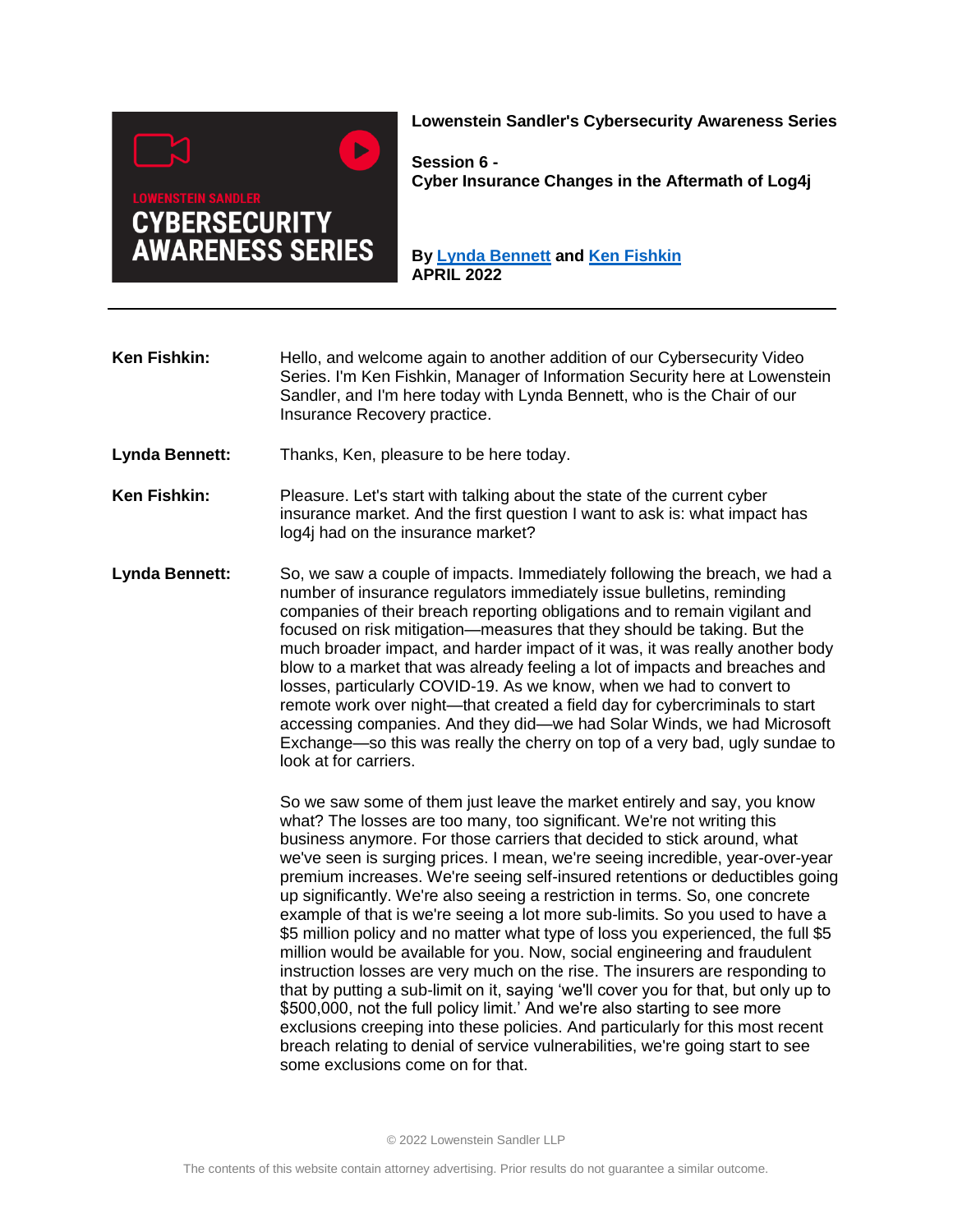

**Lowenstein Sandler's Cybersecurity Awareness Series**

**Session 6 - Cyber Insurance Changes in the Aftermath of Log4j**

**By [Lynda Bennett](https://www.lowenstein.com/people/attorneys/lynda-bennett) and [Ken](https://www.lowenstein.com/people/attorneys/megan-monson) [Fishkin](https://www.lowenstein.com/people/management-team/ken-fishkin) APRIL 2022**

**Ken Fishkin:** Hello, and welcome again to another addition of our Cybersecurity Video Series. I'm Ken Fishkin, Manager of Information Security here at Lowenstein Sandler, and I'm here today with Lynda Bennett, who is the Chair of our Insurance Recovery practice.

- **Lynda Bennett:** Thanks, Ken, pleasure to be here today.
- **Ken Fishkin:** Pleasure. Let's start with talking about the state of the current cyber insurance market. And the first question I want to ask is: what impact has log4j had on the insurance market?
- Lynda Bennett: So, we saw a couple of impacts. Immediately following the breach, we had a number of insurance regulators immediately issue bulletins, reminding companies of their breach reporting obligations and to remain vigilant and focused on risk mitigation—measures that they should be taking. But the much broader impact, and harder impact of it was, it was really another body blow to a market that was already feeling a lot of impacts and breaches and losses, particularly COVID-19. As we know, when we had to convert to remote work over night—that created a field day for cybercriminals to start accessing companies. And they did—we had Solar Winds, we had Microsoft Exchange—so this was really the cherry on top of a very bad, ugly sundae to look at for carriers.

So we saw some of them just leave the market entirely and say, you know what? The losses are too many, too significant. We're not writing this business anymore. For those carriers that decided to stick around, what we've seen is surging prices. I mean, we're seeing incredible, year-over-year premium increases. We're seeing self-insured retentions or deductibles going up significantly. We're also seeing a restriction in terms. So, one concrete example of that is we're seeing a lot more sub-limits. So you used to have a \$5 million policy and no matter what type of loss you experienced, the full \$5 million would be available for you. Now, social engineering and fraudulent instruction losses are very much on the rise. The insurers are responding to that by putting a sub-limit on it, saying 'we'll cover you for that, but only up to \$500,000, not the full policy limit.' And we're also starting to see more exclusions creeping into these policies. And particularly for this most recent breach relating to denial of service vulnerabilities, we're going start to see some exclusions come on for that.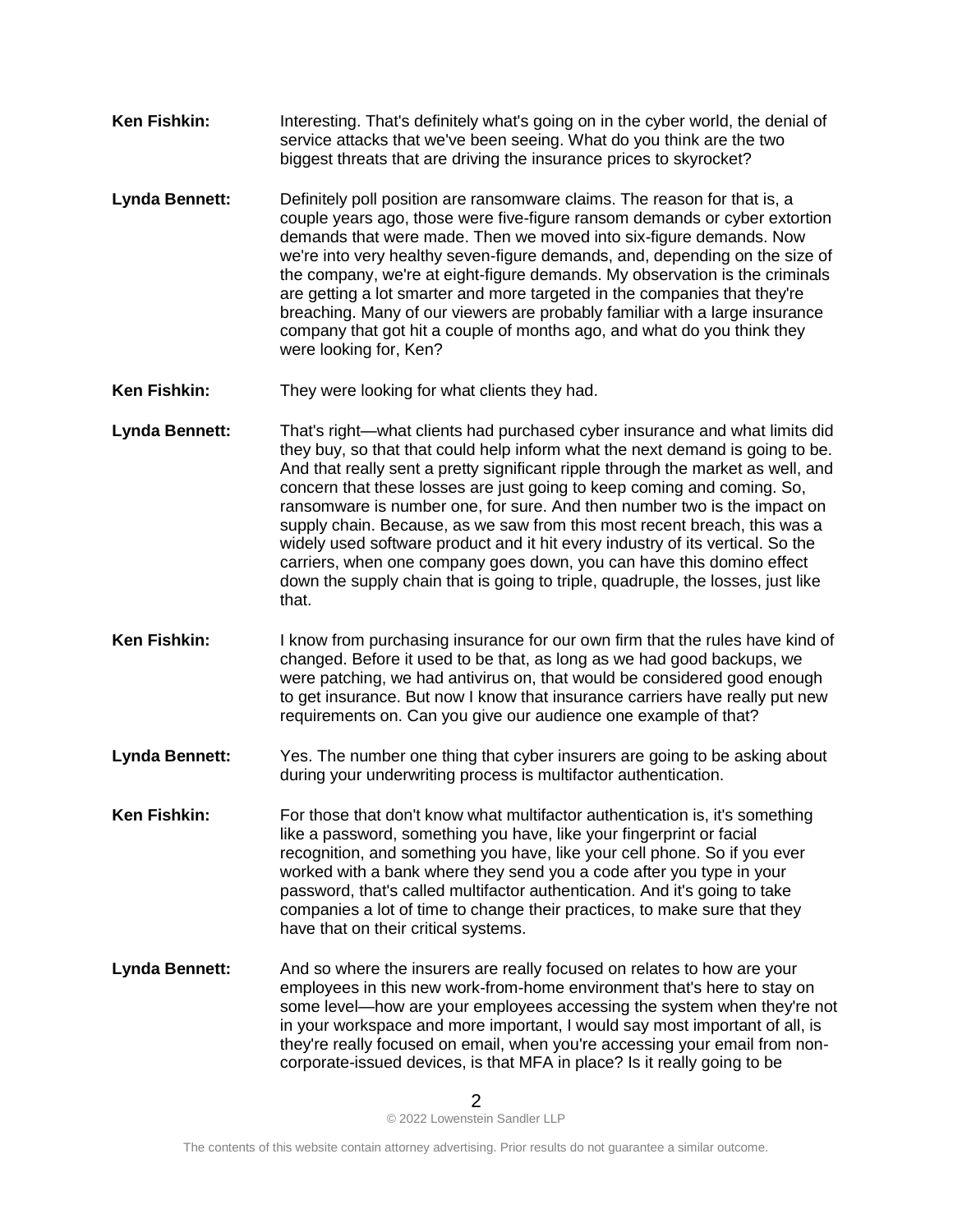- **Ken Fishkin:** Interesting. That's definitely what's going on in the cyber world, the denial of service attacks that we've been seeing. What do you think are the two biggest threats that are driving the insurance prices to skyrocket?
- **Lynda Bennett:** Definitely poll position are ransomware claims. The reason for that is, a couple years ago, those were five-figure ransom demands or cyber extortion demands that were made. Then we moved into six-figure demands. Now we're into very healthy seven-figure demands, and, depending on the size of the company, we're at eight-figure demands. My observation is the criminals are getting a lot smarter and more targeted in the companies that they're breaching. Many of our viewers are probably familiar with a large insurance company that got hit a couple of months ago, and what do you think they were looking for, Ken?
- **Ken Fishkin:** They were looking for what clients they had.
- **Lynda Bennett:** That's right—what clients had purchased cyber insurance and what limits did they buy, so that that could help inform what the next demand is going to be. And that really sent a pretty significant ripple through the market as well, and concern that these losses are just going to keep coming and coming. So, ransomware is number one, for sure. And then number two is the impact on supply chain. Because, as we saw from this most recent breach, this was a widely used software product and it hit every industry of its vertical. So the carriers, when one company goes down, you can have this domino effect down the supply chain that is going to triple, quadruple, the losses, just like that.
- **Ken Fishkin:** I know from purchasing insurance for our own firm that the rules have kind of changed. Before it used to be that, as long as we had good backups, we were patching, we had antivirus on, that would be considered good enough to get insurance. But now I know that insurance carriers have really put new requirements on. Can you give our audience one example of that?
- **Lynda Bennett:** Yes. The number one thing that cyber insurers are going to be asking about during your underwriting process is multifactor authentication.
- **Ken Fishkin:** For those that don't know what multifactor authentication is, it's something like a password, something you have, like your fingerprint or facial recognition, and something you have, like your cell phone. So if you ever worked with a bank where they send you a code after you type in your password, that's called multifactor authentication. And it's going to take companies a lot of time to change their practices, to make sure that they have that on their critical systems.
- **Lynda Bennett:** And so where the insurers are really focused on relates to how are your employees in this new work-from-home environment that's here to stay on some level—how are your employees accessing the system when they're not in your workspace and more important, I would say most important of all, is they're really focused on email, when you're accessing your email from noncorporate-issued devices, is that MFA in place? Is it really going to be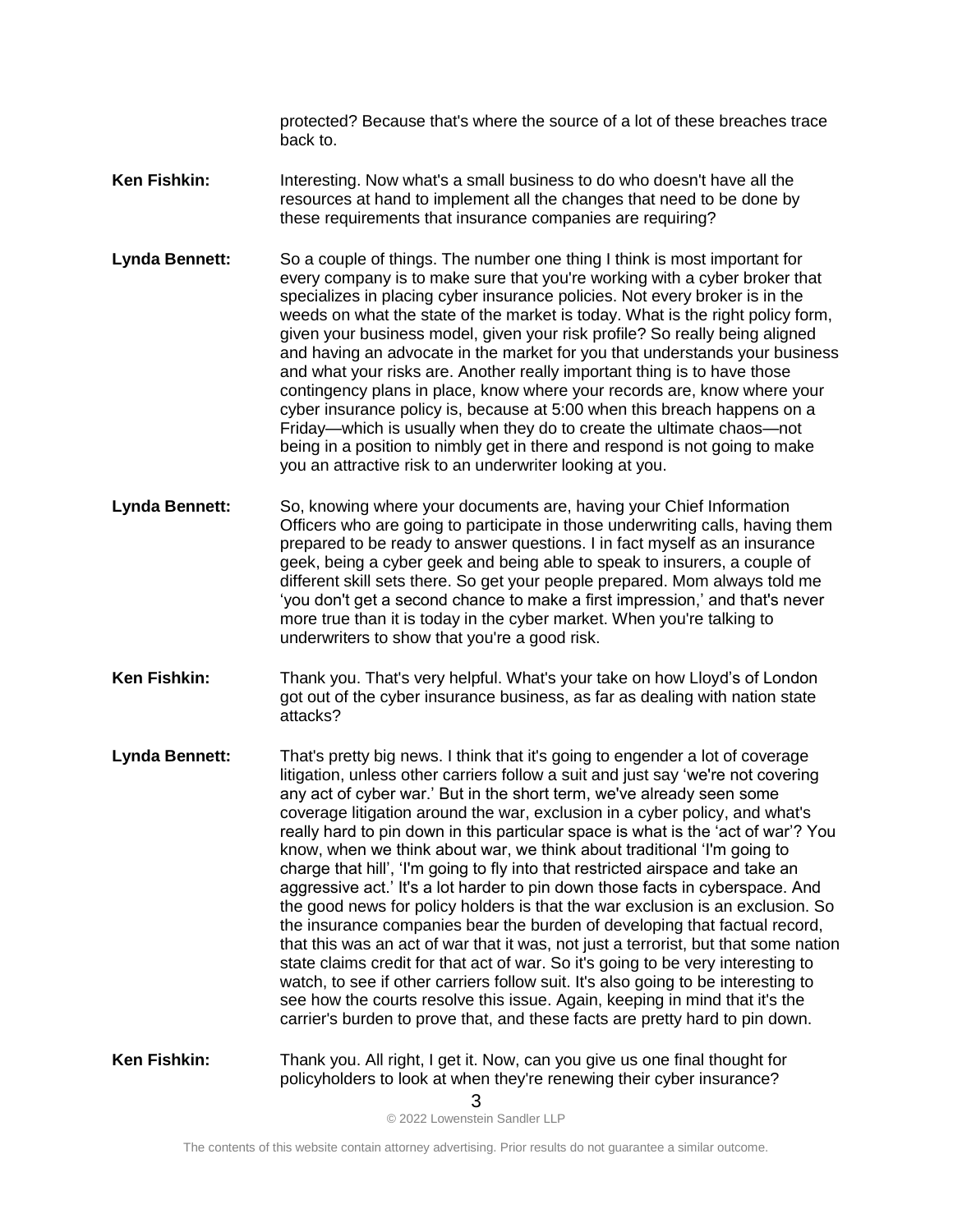protected? Because that's where the source of a lot of these breaches trace back to.

- **Ken Fishkin:** Interesting. Now what's a small business to do who doesn't have all the resources at hand to implement all the changes that need to be done by these requirements that insurance companies are requiring?
- **Lynda Bennett:** So a couple of things. The number one thing I think is most important for every company is to make sure that you're working with a cyber broker that specializes in placing cyber insurance policies. Not every broker is in the weeds on what the state of the market is today. What is the right policy form, given your business model, given your risk profile? So really being aligned and having an advocate in the market for you that understands your business and what your risks are. Another really important thing is to have those contingency plans in place, know where your records are, know where your cyber insurance policy is, because at 5:00 when this breach happens on a Friday—which is usually when they do to create the ultimate chaos—not being in a position to nimbly get in there and respond is not going to make you an attractive risk to an underwriter looking at you.
- **Lynda Bennett:** So, knowing where your documents are, having your Chief Information Officers who are going to participate in those underwriting calls, having them prepared to be ready to answer questions. I in fact myself as an insurance geek, being a cyber geek and being able to speak to insurers, a couple of different skill sets there. So get your people prepared. Mom always told me 'you don't get a second chance to make a first impression,' and that's never more true than it is today in the cyber market. When you're talking to underwriters to show that you're a good risk.
- **Ken Fishkin:** Thank you. That's very helpful. What's your take on how Lloyd's of London got out of the cyber insurance business, as far as dealing with nation state attacks?
- **Lynda Bennett:** That's pretty big news. I think that it's going to engender a lot of coverage litigation, unless other carriers follow a suit and just say 'we're not covering any act of cyber war.' But in the short term, we've already seen some coverage litigation around the war, exclusion in a cyber policy, and what's really hard to pin down in this particular space is what is the 'act of war'? You know, when we think about war, we think about traditional 'I'm going to charge that hill', 'I'm going to fly into that restricted airspace and take an aggressive act.' It's a lot harder to pin down those facts in cyberspace. And the good news for policy holders is that the war exclusion is an exclusion. So the insurance companies bear the burden of developing that factual record, that this was an act of war that it was, not just a terrorist, but that some nation state claims credit for that act of war. So it's going to be very interesting to watch, to see if other carriers follow suit. It's also going to be interesting to see how the courts resolve this issue. Again, keeping in mind that it's the carrier's burden to prove that, and these facts are pretty hard to pin down.
- **Ken Fishkin:** Thank you. All right, I get it. Now, can you give us one final thought for policyholders to look at when they're renewing their cyber insurance?